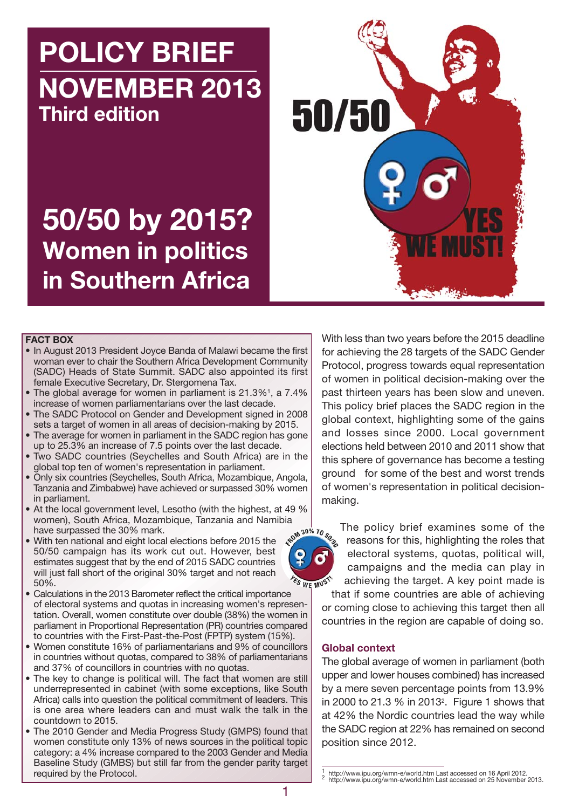**POLICY BRIEF NOVEMBER 2013 Third edition**

**50/50 by 2015?**

**Women in politics**

**in Southern Africa**



#### **FACT BOX**

- In August 2013 President Joyce Banda of Malawi became the first woman ever to chair the Southern Africa Development Community (SADC) Heads of State Summit. SADC also appointed its first female Executive Secretary, Dr. Stergomena Tax.
- The global average for women in parliament is 21.3%<sup>1</sup>, a 7.4% increase of women parliamentarians over the last decade.
- The SADC Protocol on Gender and Development signed in 2008 sets a target of women in all areas of decision-making by 2015.
- The average for women in parliament in the SADC region has gone up to 25.3% an increase of 7.5 points over the last decade.
- Two SADC countries (Seychelles and South Africa) are in the global top ten of women's representation in parliament.
- Only six countries (Seychelles, South Africa, Mozambique, Angola, Tanzania and Zimbabwe) have achieved or surpassed 30% women in parliament.
- At the local government level, Lesotho (with the highest, at 49 % women), South Africa, Mozambique, Tanzania and Namibia<br>have surpassed the 30% mark.<br>With ten national and eight local elections before 2015 the have surpassed the 30% mark.
- With ten national and eight local elections before 2015 the 50/50 campaign has its work cut out. However, best estimates suggest that by the end of 2015 SADC countries will just fall short of the original 30% target and not reach 50%.
- Calculations in the 2013 Barometer reflect the critical importance of electoral systems and quotas in increasing women's representation. Overall, women constitute over double (38%) the women in parliament in Proportional Representation (PR) countries compared to countries with the First-Past-the-Post (FPTP) system (15%).
- Women constitute 16% of parliamentarians and 9% of councillors in countries without quotas, compared to 38% of parliamentarians and 37% of councillors in countries with no quotas.
- The key to change is political will. The fact that women are still underrepresented in cabinet (with some exceptions, like South Africa) calls into question the political commitment of leaders. This is one area where leaders can and must walk the talk in the countdown to 2015.
- The 2010 Gender and Media Progress Study (GMPS) found that women constitute only 13% of news sources in the political topic category: a 4% increase compared to the 2003 Gender and Media Baseline Study (GMBS) but still far from the gender parity target required by the Protocol.

With less than two years before the 2015 deadline for achieving the 28 targets of the SADC Gender Protocol, progress towards equal representation of women in political decision-making over the past thirteen years has been slow and uneven. This policy brief places the SADC region in the global context, highlighting some of the gains and losses since 2000. Local government elections held between 2010 and 2011 show that this sphere of governance has become a testing ground for some of the best and worst trends of women's representation in political decisionmaking.



The policy brief examines some of the reasons for this, highlighting the roles that electoral systems, quotas, political will, campaigns and the media can play in achieving the target. A key point made is

that if some countries are able of achieving or coming close to achieving this target then all countries in the region are capable of doing so.

#### **Global context**

The global average of women in parliament (both upper and lower houses combined) has increased by a mere seven percentage points from 13.9% in 2000 to 21.3 % in 20132. Figure 1 shows that at 42% the Nordic countries lead the way while the SADC region at 22% has remained on second position since 2012.

<sup>1</sup> http://www.ipu.org/wmn-e/world.htm Last accessed on 16 April 2012. <sup>2</sup> http://www.ipu.org/wmn-e/world.htm Last accessed on 25 November 2013.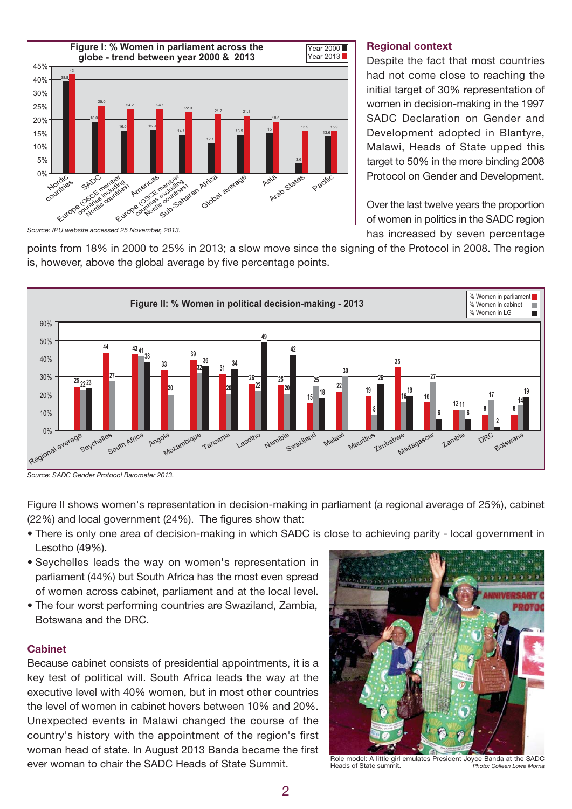

#### **Regional context**

Despite the fact that most countries had not come close to reaching the initial target of 30% representation of women in decision-making in the 1997 SADC Declaration on Gender and Development adopted in Blantyre, Malawi, Heads of State upped this target to 50% in the more binding 2008 Protocol on Gender and Development.

Over the last twelve years the proportion of women in politics in the SADC region has increased by seven percentage

*Source: IPU website accessed 25 November, 2013.*

points from 18% in 2000 to 25% in 2013; a slow move since the signing of the Protocol in 2008. The region is, however, above the global average by five percentage points.



*Source: SADC Gender Protocol Barometer 2013.*

Figure II shows women's representation in decision-making in parliament (a regional average of 25%), cabinet (22%) and local government (24%). The figures show that:

- There is only one area of decision-making in which SADC is close to achieving parity local government in Lesotho (49%).
- Seychelles leads the way on women's representation in parliament (44%) but South Africa has the most even spread of women across cabinet, parliament and at the local level.
- The four worst performing countries are Swaziland, Zambia, Botswana and the DRC.

## **Cabinet**

Because cabinet consists of presidential appointments, it is a key test of political will. South Africa leads the way at the executive level with 40% women, but in most other countries the level of women in cabinet hovers between 10% and 20%. Unexpected events in Malawi changed the course of the country's history with the appointment of the region's first woman head of state. In August 2013 Banda became the first ever woman to chair the SADC Heads of State Summit.



Role model: A little girl emulates President Joyce Banda at the SADC Heads of State summit. *Photo: Colleen Lowe Morna*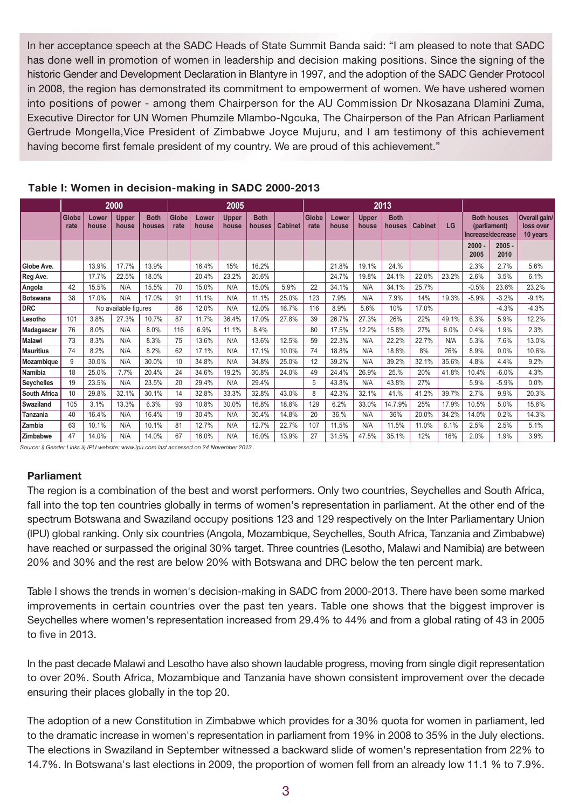In her acceptance speech at the SADC Heads of State Summit Banda said: "I am pleased to note that SADC has done well in promotion of women in leadership and decision making positions. Since the signing of the historic Gender and Development Declaration in Blantyre in 1997, and the adoption of the SADC Gender Protocol in 2008, the region has demonstrated its commitment to empowerment of women. We have ushered women into positions of power - among them Chairperson for the AU Commission Dr Nkosazana Dlamini Zuma, Executive Director for UN Women Phumzile Mlambo-Ngcuka, The Chairperson of the Pan African Parliament Gertrude Mongella,Vice President of Zimbabwe Joyce Mujuru, and I am testimony of this achievement having become first female president of my country. We are proud of this achievement."

|                     | 2000          |                |                       |                       | 2005          |                |                       |                       |                | 2013                 |                |                       |                       |                |       |                                                         |                  |                                        |
|---------------------|---------------|----------------|-----------------------|-----------------------|---------------|----------------|-----------------------|-----------------------|----------------|----------------------|----------------|-----------------------|-----------------------|----------------|-------|---------------------------------------------------------|------------------|----------------------------------------|
|                     | Globe<br>rate | Lower<br>house | <b>Upper</b><br>house | <b>Both</b><br>houses | Globe<br>rate | Lower<br>house | <b>Upper</b><br>house | <b>Both</b><br>houses | <b>Cabinet</b> | <b>Globe</b><br>rate | Lower<br>house | <b>Upper</b><br>house | <b>Both</b><br>houses | <b>Cabinet</b> | LG    | <b>Both houses</b><br>(parliament)<br>Increase/decrease |                  | Overall gain/<br>loss over<br>10 years |
|                     |               |                |                       |                       |               |                |                       |                       |                |                      |                |                       |                       |                |       | $2000 -$<br>2005                                        | $2005 -$<br>2010 |                                        |
| Globe Ave.          |               | 13.9%          | 17.7%                 | 13.9%                 |               | 16.4%          | 15%                   | 16.2%                 |                |                      | 21.8%          | 19.1%                 | 24.%                  |                |       | 2.3%                                                    | 2.7%             | 5.6%                                   |
| Reg Ave.            |               | 17.7%          | 22.5%                 | 18.0%                 |               | 20.4%          | 23.2%                 | 20.6%                 |                |                      | 24.7%          | 19.8%                 | 24.1%                 | 22.0%          | 23.2% | 2.6%                                                    | 3.5%             | 6.1%                                   |
| Angola              | 42            | 15.5%          | N/A                   | 15.5%                 | 70            | 15.0%          | N/A                   | 15.0%                 | 5.9%           | 22                   | 34.1%          | N/A                   | 34.1%                 | 25.7%          |       | $-0.5%$                                                 | 23.6%            | 23.2%                                  |
| <b>Botswana</b>     | 38            | 17.0%          | N/A                   | 17.0%                 | 91            | 11.1%          | N/A                   | 11.1%                 | 25.0%          | 123                  | 7.9%           | N/A                   | 7.9%                  | 14%            | 19.3% | $-5.9%$                                                 | $-3.2%$          | $-9.1%$                                |
| <b>DRC</b>          |               |                | No available figures  |                       |               | 12.0%          | N/A                   | 12.0%                 | 16.7%          | 116                  | 8.9%           | 5.6%                  | 10%                   | 17.0%          |       |                                                         | $-4.3%$          | $-4.3%$                                |
| Lesotho             | 101           | 3.8%           | 27.3%                 | 10.7%                 | 87            | 11.7%          | 36.4%                 | 17.0%                 | 27.8%          | 39                   | 26.7%          | 27.3%                 | 26%                   | 22%            | 49.1% | 6.3%                                                    | 5.9%             | 12.2%                                  |
| Madagascar          | 76            | 8.0%           | N/A                   | 8.0%                  | 116           | 6.9%           | 11.1%                 | 8.4%                  |                | 80                   | 17.5%          | 12.2%                 | 15.8%                 | 27%            | 6.0%  | 0.4%                                                    | 1.9%             | 2.3%                                   |
| <b>Malawi</b>       | 73            | 8.3%           | N/A                   | 8.3%                  | 75            | 13.6%          | N/A                   | 13.6%                 | 12.5%          | 59                   | 22.3%          | N/A                   | 22.2%                 | 22.7%          | N/A   | 5.3%                                                    | 7.6%             | 13.0%                                  |
| <b>Mauritius</b>    | 74            | 8.2%           | N/A                   | 8.2%                  | 62            | 17.1%          | N/A                   | 17.1%                 | 10.0%          | 74                   | 18.8%          | N/A                   | 18.8%                 | 8%             | 26%   | 8.9%                                                    | 0.0%             | 10.6%                                  |
| Mozambique          | 9             | 30.0%          | N/A                   | 30.0%                 | 10            | 34.8%          | N/A                   | 34.8%                 | 25.0%          | 12                   | 39.2%          | N/A                   | 39.2%                 | 32.1%          | 35.6% | 4.8%                                                    | 4.4%             | 9.2%                                   |
| <b>Namibia</b>      | 18            | 25.0%          | 7.7%                  | 20.4%                 | 24            | 34.6%          | 19.2%                 | 30.8%                 | 24.0%          | 49                   | 24.4%          | 26.9%                 | 25.%                  | 20%            | 41.8% | 10.4%                                                   | $-6.0%$          | 4.3%                                   |
| <b>Seychelles</b>   | 19            | 23.5%          | N/A                   | 23.5%                 | 20            | 29.4%          | N/A                   | 29.4%                 |                | 5                    | 43.8%          | N/A                   | 43.8%                 | 27%            |       | 5.9%                                                    | $-5.9%$          | 0.0%                                   |
| <b>South Africa</b> | 10            | 29.8%          | 32.1%                 | 30.1%                 | 14            | 32.8%          | 33.3%                 | 32.8%                 | 43.0%          | 8                    | 42.3%          | 32.1%                 | 41.%                  | 41.2%          | 39.7% | 2.7%                                                    | 9.9%             | 20.3%                                  |
| <b>Swaziland</b>    | 105           | 3.1%           | 13.3%                 | 6.3%                  | 93            | 10.8%          | 30.0%                 | 16.8%                 | 18.8%          | 129                  | 6.2%           | 33.0%                 | 14.7.9%               | 25%            | 17.9% | 10.5%                                                   | 5.0%             | 15.6%                                  |
| Tanzania            | 40            | 16.4%          | N/A                   | 16.4%                 | 19            | 30.4%          | N/A                   | 30.4%                 | 14.8%          | 20                   | 36.%           | N/A                   | 36%                   | 20.0%          | 34.2% | 14.0%                                                   | 0.2%             | 14.3%                                  |
| Zambia              | 63            | 10.1%          | N/A                   | 10.1%                 | 81            | 12.7%          | N/A                   | 12.7%                 | 22.7%          | 107                  | 11.5%          | N/A                   | 11.5%                 | 11.0%          | 6.1%  | 2.5%                                                    | 2.5%             | 5.1%                                   |
| <b>Zimbabwe</b>     | 47            | 14.0%          | N/A                   | 14.0%                 | 67            | 16.0%          | N/A                   | 16.0%                 | 13.9%          | 27                   | 31.5%          | 47.5%                 | 35.1%                 | 12%            | 16%   | 2.0%                                                    | 1.9%             | 3.9%                                   |

# **Table I: Women in decision-making in SADC 2000-2013**

*Source: i) Gender Links ii) IPU website: www.ipu.com last accessed on 24 November 2013 .*

## **Parliament**

The region is a combination of the best and worst performers. Only two countries, Seychelles and South Africa, fall into the top ten countries globally in terms of women's representation in parliament. At the other end of the spectrum Botswana and Swaziland occupy positions 123 and 129 respectively on the Inter Parliamentary Union (IPU) global ranking. Only six countries (Angola, Mozambique, Seychelles, South Africa, Tanzania and Zimbabwe) have reached or surpassed the original 30% target. Three countries (Lesotho, Malawi and Namibia) are between 20% and 30% and the rest are below 20% with Botswana and DRC below the ten percent mark.

Table I shows the trends in women's decision-making in SADC from 2000-2013. There have been some marked improvements in certain countries over the past ten years. Table one shows that the biggest improver is Seychelles where women's representation increased from 29.4% to 44% and from a global rating of 43 in 2005 to five in 2013.

In the past decade Malawi and Lesotho have also shown laudable progress, moving from single digit representation to over 20%. South Africa, Mozambique and Tanzania have shown consistent improvement over the decade ensuring their places globally in the top 20.

The adoption of a new Constitution in Zimbabwe which provides for a 30% quota for women in parliament, led to the dramatic increase in women's representation in parliament from 19% in 2008 to 35% in the July elections. The elections in Swaziland in September witnessed a backward slide of women's representation from 22% to 14.7%. In Botswana's last elections in 2009, the proportion of women fell from an already low 11.1 % to 7.9%.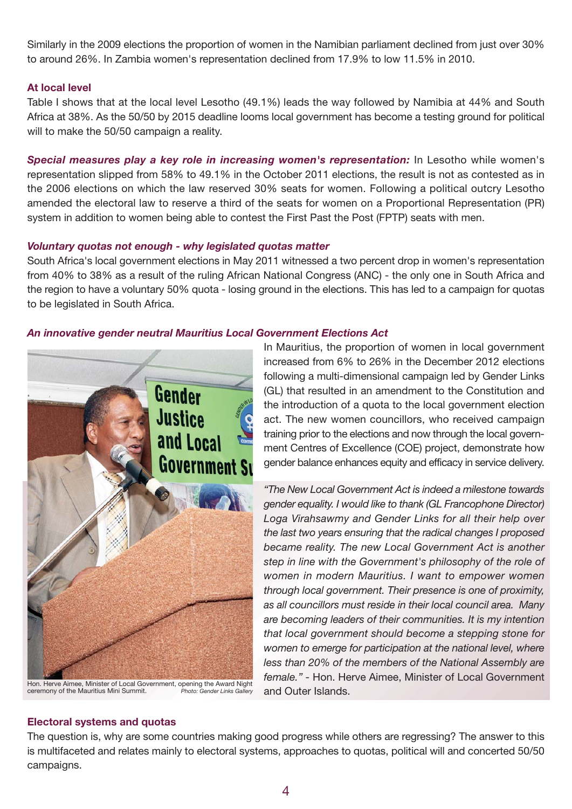Similarly in the 2009 elections the proportion of women in the Namibian parliament declined from just over 30% to around 26%. In Zambia women's representation declined from 17.9% to low 11.5% in 2010.

## **At local level**

Table I shows that at the local level Lesotho (49.1%) leads the way followed by Namibia at 44% and South Africa at 38%. As the 50/50 by 2015 deadline looms local government has become a testing ground for political will to make the 50/50 campaign a reality.

**Special measures play a key role in increasing women's representation:** In Lesotho while women's representation slipped from 58% to 49.1% in the October 2011 elections, the result is not as contested as in the 2006 elections on which the law reserved 30% seats for women. Following a political outcry Lesotho amended the electoral law to reserve a third of the seats for women on a Proportional Representation (PR) system in addition to women being able to contest the First Past the Post (FPTP) seats with men.

### *Voluntary quotas not enough - why legislated quotas matter*

South Africa's local government elections in May 2011 witnessed a two percent drop in women's representation from 40% to 38% as a result of the ruling African National Congress (ANC) - the only one in South Africa and the region to have a voluntary 50% quota - losing ground in the elections. This has led to a campaign for quotas to be legislated in South Africa.

## *An innovative gender neutral Mauritius Local Government Elections Act*



and Outer Islands. Hon. Herve Aimee, Minister of Local Government, opening the Award Night ceremony of the Mauritius Mini Summit. *Photo: Gender Links Gallery*

In Mauritius, the proportion of women in local government increased from 6% to 26% in the December 2012 elections following a multi-dimensional campaign led by Gender Links (GL) that resulted in an amendment to the Constitution and the introduction of a quota to the local government election act. The new women councillors, who received campaign training prior to the elections and now through the local government Centres of Excellence (COE) project, demonstrate how gender balance enhances equity and efficacy in service delivery.

*"The New Local Government Act is indeed a milestone towards gender equality. I would like to thank (GL Francophone Director) Loga Virahsawmy and Gender Links for all their help over the last two years ensuring that the radical changes I proposed became reality. The new Local Government Act is another step in line with the Government's philosophy of the role of women in modern Mauritius. I want to empower women through local government. Their presence is one of proximity, as all councillors must reside in their local council area. Many are becoming leaders of their communities. It is my intention that local government should become a stepping stone for women to emerge for participation at the national level, where less than 20% of the members of the National Assembly are female." -* Hon. Herve Aimee, Minister of Local Government

## **Electoral systems and quotas**

The question is, why are some countries making good progress while others are regressing? The answer to this is multifaceted and relates mainly to electoral systems, approaches to quotas, political will and concerted 50/50 campaigns.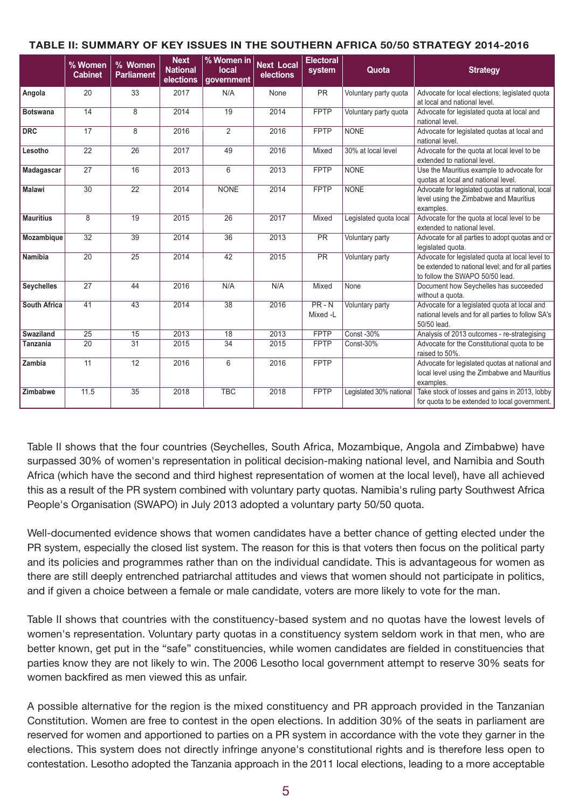### **TABLE II: SUMMARY OF KEY ISSUES IN THE SOUTHERN AFRICA 50/50 STRATEGY 2014-2016**

|                     | % Women<br><b>Cabinet</b> | % Women<br><b>Parliament</b> | <b>Next</b><br>% Women in<br><b>National</b><br>local<br>elections<br>government |                 | <b>Next Local</b><br>elections | <b>Electoral</b><br>system | Quota                   | <b>Strategy</b>                                                                                                                          |  |  |
|---------------------|---------------------------|------------------------------|----------------------------------------------------------------------------------|-----------------|--------------------------------|----------------------------|-------------------------|------------------------------------------------------------------------------------------------------------------------------------------|--|--|
| Angola              | 20                        | 33                           | 2017<br>N/A                                                                      |                 | None                           | <b>PR</b>                  | Voluntary party quota   | Advocate for local elections; legislated quota<br>at local and national level.                                                           |  |  |
| <b>Botswana</b>     | 14                        | 8                            | 2014                                                                             | 19              | 2014                           | <b>FPTP</b>                | Voluntary party quota   | Advocate for legislated quota at local and<br>national level.                                                                            |  |  |
| <b>DRC</b>          | 17                        | 8                            | 2016                                                                             | 2               | 2016                           | <b>FPTP</b>                | <b>NONE</b>             | Advocate for legislated guotas at local and<br>national level.                                                                           |  |  |
| Lesotho             | 22                        | 26                           | 2017                                                                             | 49              | 2016                           | Mixed                      | 30% at local level      | Advocate for the quota at local level to be<br>extended to national level.                                                               |  |  |
| Madagascar          | 27                        | 16                           | 2013                                                                             | 6               | 2013                           | <b>FPTP</b>                | <b>NONE</b>             | Use the Mauritius example to advocate for<br>quotas at local and national level.                                                         |  |  |
| <b>Malawi</b>       | $\overline{30}$           | $\overline{22}$              | 2014                                                                             | <b>NONE</b>     | 2014                           | <b>FPTP</b>                | <b>NONE</b>             | Advocate for legislated quotas at national, local<br>level using the Zimbabwe and Mauritius<br>examples.                                 |  |  |
| <b>Mauritius</b>    | 8                         | 19                           | 2015                                                                             | 26              | 2017                           | Mixed                      | Legislated quota local  | Advocate for the quota at local level to be<br>extended to national level.                                                               |  |  |
| Mozambique          | $\overline{32}$           | 39                           | 2014                                                                             | $\overline{36}$ | 2013                           | <b>PR</b>                  | Voluntary party         | Advocate for all parties to adopt quotas and or<br>legislated quota.                                                                     |  |  |
| Namibia             | $\overline{20}$           | $\overline{25}$              | 2014                                                                             | $\overline{42}$ | 2015                           | $\overline{PR}$            | Voluntary party         | Advocate for legislated quota at local level to<br>be extended to national level; and for all parties<br>to follow the SWAPO 50/50 lead. |  |  |
| <b>Seychelles</b>   | $\overline{27}$           | 44                           | 2016                                                                             | N/A             | N/A                            | Mixed                      | None                    | Document how Seychelles has succeeded<br>without a quota.                                                                                |  |  |
| <b>South Africa</b> | 41                        | 43                           | 2014                                                                             | $\overline{38}$ | 2016                           | $PR - N$<br>Mixed-L        | Voluntary party         | Advocate for a legislated quota at local and<br>national levels and for all parties to follow SA's<br>50/50 lead.                        |  |  |
| <b>Swaziland</b>    | $\overline{25}$           | 15                           | 2013                                                                             | 18              | 2013                           | <b>FPTP</b>                | <b>Const -30%</b>       | Analysis of 2013 outcomes - re-strategising                                                                                              |  |  |
| <b>Tanzania</b>     | $\overline{20}$           | $\overline{31}$              | 2015                                                                             | $\overline{34}$ | 2015                           | <b>FPTP</b>                | Const-30%               | Advocate for the Constitutional quota to be<br>raised to 50%.                                                                            |  |  |
| Zambia              | 11                        | 12                           | 2016                                                                             | 6               | 2016                           | <b>FPTP</b>                |                         | Advocate for legislated quotas at national and<br>local level using the Zimbabwe and Mauritius<br>examples.                              |  |  |
| Zimbabwe            | 11.5                      | 35                           | 2018                                                                             | <b>TBC</b>      | 2018                           | <b>FPTP</b>                | Legislated 30% national | Take stock of losses and gains in 2013, lobby<br>for quota to be extended to local government.                                           |  |  |

Table II shows that the four countries (Seychelles, South Africa, Mozambique, Angola and Zimbabwe) have surpassed 30% of women's representation in political decision-making national level, and Namibia and South Africa (which have the second and third highest representation of women at the local level), have all achieved this as a result of the PR system combined with voluntary party quotas. Namibia's ruling party Southwest Africa People's Organisation (SWAPO) in July 2013 adopted a voluntary party 50/50 quota.

Well-documented evidence shows that women candidates have a better chance of getting elected under the PR system, especially the closed list system. The reason for this is that voters then focus on the political party and its policies and programmes rather than on the individual candidate. This is advantageous for women as there are still deeply entrenched patriarchal attitudes and views that women should not participate in politics, and if given a choice between a female or male candidate, voters are more likely to vote for the man.

Table II shows that countries with the constituency-based system and no quotas have the lowest levels of women's representation. Voluntary party quotas in a constituency system seldom work in that men, who are better known, get put in the "safe" constituencies, while women candidates are fielded in constituencies that parties know they are not likely to win. The 2006 Lesotho local government attempt to reserve 30% seats for women backfired as men viewed this as unfair.

A possible alternative for the region is the mixed constituency and PR approach provided in the Tanzanian Constitution. Women are free to contest in the open elections. In addition 30% of the seats in parliament are reserved for women and apportioned to parties on a PR system in accordance with the vote they garner in the elections. This system does not directly infringe anyone's constitutional rights and is therefore less open to contestation. Lesotho adopted the Tanzania approach in the 2011 local elections, leading to a more acceptable